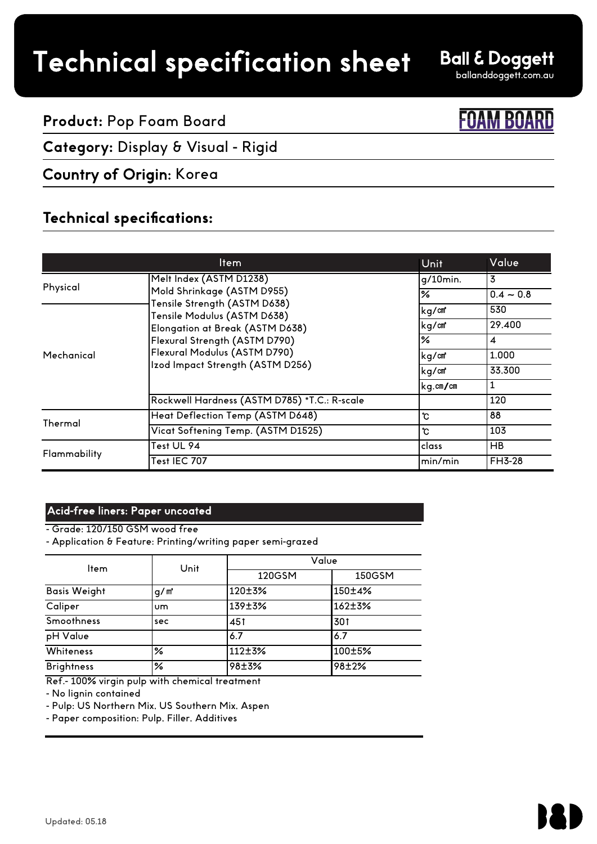# Technical specification sheet

**Ball & Doggett** 

70

ballanddoggett.com.au

## **Product:** Pop Foam Board

# **Category:** Display & Visual - Rigid

## Country of Origin: Korea

## **Technical specifications:**

|              | Item                                                                                                                                                                                          | Unit          | Value            |
|--------------|-----------------------------------------------------------------------------------------------------------------------------------------------------------------------------------------------|---------------|------------------|
| Physical     | Melt Index (ASTM D1238)                                                                                                                                                                       | g/10min.      | $\overline{3}$   |
|              | Mold Shrinkage (ASTM D955)<br>Tensile Strength (ASTM D638)<br>Tensile Modulus (ASTM D638)<br>Elongation at Break (ASTM D638)<br>Flexural Strength (ASTM D790)<br>Flexural Modulus (ASTM D790) | ℅             | $0.4 - 0.8$      |
| Mechanical   |                                                                                                                                                                                               | kg/cm         | 530              |
|              |                                                                                                                                                                                               | kg/cm         | 29,400           |
|              |                                                                                                                                                                                               | $\frac{9}{6}$ | $\boldsymbol{4}$ |
|              |                                                                                                                                                                                               | kg/cm         | 1.000            |
|              | Izod Impact Strength (ASTM D256)                                                                                                                                                              | kg/cm         | 33.300           |
|              |                                                                                                                                                                                               | kg.cm/cm      | 1                |
|              | Rockwell Hardness (ASTM D785) *T.C.: R-scale                                                                                                                                                  |               | 120              |
| Thermal      | Heat Deflection Temp (ASTM D648)                                                                                                                                                              | ზ             | 88               |
|              | Vicat Softening Temp. (ASTM D1525)                                                                                                                                                            | ზ             | 103              |
| Flammability | Test UL 94                                                                                                                                                                                    | class         | <b>HB</b>        |
|              | Test IEC 707                                                                                                                                                                                  | min/min       | <b>FH3-28</b>    |

#### Acid-free liners: Paper uncoated

- Grade: 120/150 GSM wood free

- Application & Feature: Printing/writing paper semi-grazed

| ltem                | Unit             |        | Value  |  |  |
|---------------------|------------------|--------|--------|--|--|
|                     |                  | 120GSM | 150GSM |  |  |
| <b>Basis Weight</b> | q/m <sup>*</sup> | 120±3% | 150±4% |  |  |
| Caliper             | um.              | 139±3% | 162±3% |  |  |
| <b>Smoothness</b>   | sec              | 451    | 301    |  |  |
| pH Value            |                  | 6.7    | 6.7    |  |  |
| Whiteness           | $\frac{9}{6}$    | 112±3% | 100±5% |  |  |
| <b>Brightness</b>   | $\frac{9}{6}$    | 98±3%  | 98±2%  |  |  |

Ref.- 100% virgin pulp with chemical treatment

- No lignin contained

- Pulp: US Northern Mix, US Southern Mix, Aspen

- Paper composition: Pulp, Filler, Additives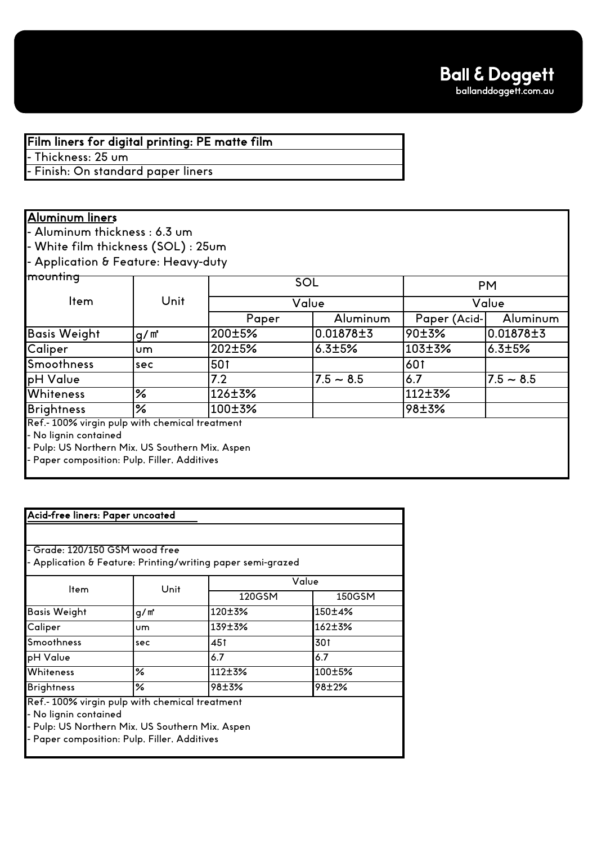Film liners for digital printing: PE matte film

Thickness: 25 um

Finish: On standard paper liners

### Aluminum liners

- Aluminum thickness : 6.3 um

- White film thickness (SOL) : 25um

- Application & Feature: Heavy-duty

| mounting                                        |         |        | SOL          |              | <b>PM</b>   |
|-------------------------------------------------|---------|--------|--------------|--------------|-------------|
| <b>Item</b>                                     | Unit    |        | Value        |              | Value       |
|                                                 |         | Paper  | Aluminum     | Paper (Acid- | Aluminum    |
| <b>Basis Weight</b>                             | $q/m^2$ | 200±5% | 0.01878±3    | 90±3%        | 0.01878±3   |
| Caliper                                         | um.     | 202±5% | $6.3 \pm 5%$ | 103±3%       | 6.3±5%      |
| <b>Smoothness</b>                               | sec     | 501    |              | 601          |             |
| pH Value                                        |         | 7.2    | $7.5 - 8.5$  | 6.7          | $7.5 - 8.5$ |
| <b>Whiteness</b>                                | ℅       | 126±3% |              | 112±3%       |             |
| <b>Brightness</b>                               | ℅       | 100±3% |              | 98±3%        |             |
| Ref.-100% virgin pulp with chemical treatment   |         |        |              |              |             |
| - No lignin contained                           |         |        |              |              |             |
| - Pulp: US Northern Mix, US Southern Mix, Aspen |         |        |              |              |             |

- Paper composition: Pulp, Filler, Additives

| - Grade: 120/150 GSM wood free |        |                                                                                                              |
|--------------------------------|--------|--------------------------------------------------------------------------------------------------------------|
|                                | Value  |                                                                                                              |
|                                | 120GSM | 150GSM                                                                                                       |
| q/m'                           | 120±3% | 150±4%                                                                                                       |
| um.                            | 139±3% | $162 + 3%$                                                                                                   |
| sec                            | 451    | 301                                                                                                          |
|                                | 6.7    | 6.7                                                                                                          |
| ℅                              | 112±3% | 100±5%                                                                                                       |
| ℅                              | 98±3%  | 98±2%                                                                                                        |
|                                | Unit   | - Application & Feature: Printing/writing paper semi-grazed<br>Ref.-100% virgin pulp with chemical treatment |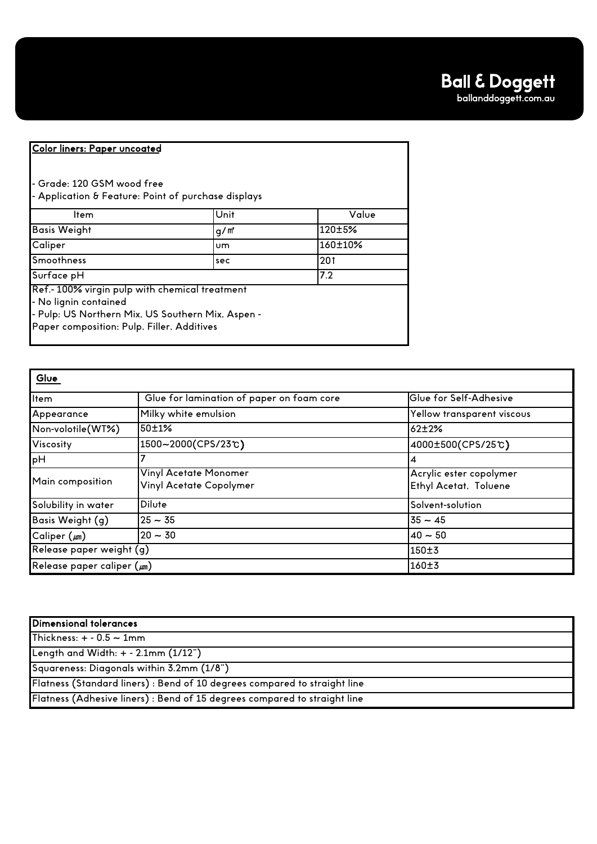#### Color liners: Paper uncoated

- Grade: 120 GSM wood free - Application & Feature: Point of purchase displays

| Unit                                                                                                | Value                                      |
|-----------------------------------------------------------------------------------------------------|--------------------------------------------|
| $q/m^2$                                                                                             | 120±5%                                     |
| <b>um</b>                                                                                           | 160±10%                                    |
| sec                                                                                                 | 201                                        |
|                                                                                                     | 7.2                                        |
| Ref.- 100% virgin pulp with chemical treatment<br>- Pulp: US Northern Mix, US Southern Mix, Aspen - |                                            |
|                                                                                                     | Paper composition: Pulp, Filler, Additives |

| Glue                            |                                                  |                                                  |  |
|---------------------------------|--------------------------------------------------|--------------------------------------------------|--|
| ltem                            | Glue for lamination of paper on foam core        | Glue for Self-Adhesive                           |  |
| Appearance                      | Milky white emulsion                             | Yellow transparent viscous                       |  |
| Non-volotile(WT%)               | 50±1%                                            | $62 + 2%$                                        |  |
| Viscosity                       | 1500~2000(CPS/23℃)                               | 4000±500(CPS/25℃)                                |  |
| pH                              |                                                  | 4                                                |  |
| Main composition                | Vinyl Acetate Monomer<br>Vinyl Acetate Copolymer | Acrylic ester copolymer<br>Ethyl Acetat, Toluene |  |
| Solubility in water             | Dilute                                           | Solvent-solution                                 |  |
| Basis Weight (g)                | $25 - 35$                                        | $35 - 45$                                        |  |
| $C$ aliper $(\mu m)$            | $20 - 30$                                        | $40 - 50$                                        |  |
| Release paper weight (g)        |                                                  | 150±3                                            |  |
| Release paper caliper $(\mu m)$ |                                                  | 160±3                                            |  |

| Dimensional tolerances                                                    |
|---------------------------------------------------------------------------|
| Thickness: $+ - 0.5 \sim 1$ mm                                            |
| Length and Width: + - 2.1mm (1/12")                                       |
| Squareness: Diagonals within 3.2mm (1/8")                                 |
| Flatness (Standard liners) : Bend of 10 degrees compared to straight line |
| Flatness (Adhesive liners) : Bend of 15 degrees compared to straight line |